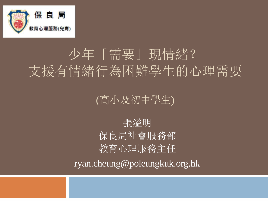

## 少年「需要」現情緒? 支援有情緒行為困難學生的心理需要

(高小及初中學生)

張溢明 保良局社會服務部 教育心理服務主任

ryan.cheung@poleungkuk.org.hk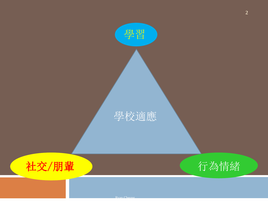

Ryan Cheung

學習



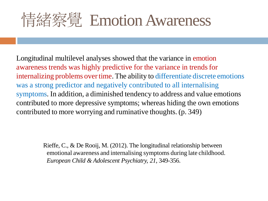# 情緒察覺 Emotion Awareness

Longitudinal multilevel analyses showed that the variance in emotion awareness trends was highly predictive for the variance in trends for internalizing problems over time. The ability to differentiate discrete emotions was a strong predictor and negatively contributed to all internalising symptoms. In addition, a diminished tendency to address and value emotions contributed to more depressive symptoms; whereas hiding the own emotions contributed to more worrying and ruminative thoughts. (p. 349)

> Rieffe, C., & De Rooij, M. (2012). The longitudinal relationship between emotional awareness and internalising symptoms during late childhood. *European Child & Adolescent Psychiatry, 21*, 349-356.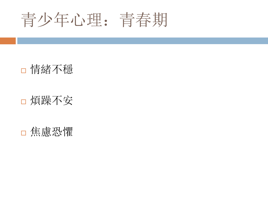青少年心理:青春期

情緒不穩

### 煩躁不安

焦慮恐懼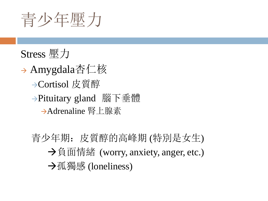青少年壓力

## Stress 壓力

- → Amygdala杏仁核 Cortisol 皮質醇 →Pituitary gland 腦下垂體 Adrenaline 腎上腺素
	- 青少年期:皮質醇的高峰期 (特別是女生)  $\rightarrow$ 負面情緒 (worry, anxiety, anger, etc.) **→孤獨感 (loneliness)**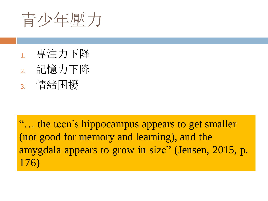青少年壓力

- 1. 專注力下降
- 2. 記憶力下降
- 3. 情緒困擾

"… the teen's hippocampus appears to get smaller (not good for memory and learning), and the amygdala appears to grow in size" (Jensen, 2015, p. 176)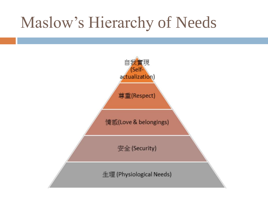# Maslow's Hierarchy of Needs

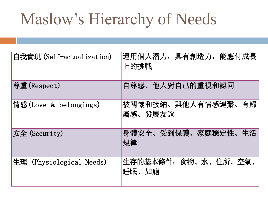# Maslow's Hierarchy of Needs

| 自我實現 (Self-actualization)   | 運用個人潛力,具有創造力,能應付成長<br>上的挑戰    |
|-----------------------------|-------------------------------|
| 尊重(Respect)                 | 自尊感、他人對自己的重視和認同               |
| 情感(Love & belongings)       | 被關懷和接納、與他人有情感連繫、有歸<br>屬感、發展友誼 |
| 安全 (Security)               | 身體安全、受到保護、家庭穩定性、生活<br> 規律     |
| 生理<br>(Physiological Needs) | 生存的基本條件: 食物、水、住所、空氣、<br>睡眠、如廁 |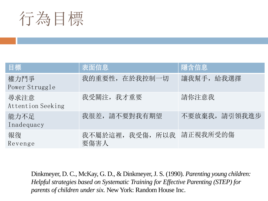

| 目標                        | 表面信息                     | 隱含信息         |
|---------------------------|--------------------------|--------------|
| 權力鬥爭<br>Power Struggle    | 我的重要性, 在於我控制一切           | 讓我幫手, 給我選擇   |
| 尋求注意<br>Attention Seeking | 我受關注, 我才重要               | 請你注意我        |
| 能力不足<br>Inadequacy        | 我很差,請不要對我有期望             | 不要放棄我,請引領我進步 |
| 報復<br>Revenge             | 我不屬於這裡, 我受傷, 所以我<br>要傷害人 | 請正視我所受的傷     |

Dinkmeyer, D. C., McKay, G. D., & Dinkmeyer,J. S. (1990). *Parenting young children: Helpful strategies based on Systematic Training for Effective Parenting (STEP) for parents of children under six.* New York: Random House Inc.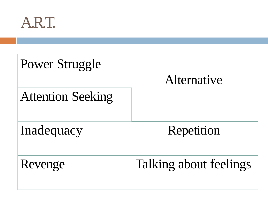

| Power Struggle<br><b>Attention Seeking</b> | Alternative            |
|--------------------------------------------|------------------------|
| Inadequacy                                 | Repetition             |
| Revenge                                    | Talking about feelings |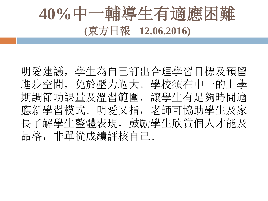# **40%**中一輔導生有適應困難 **(**東方日報 **12.06.2016)**

明愛建議,學生為自己訂出合理學習目標及預留 進步空間,免於壓力過大。學校須在中一的上學 期調節功課量及溫習範圍,讓學生有足夠時間適 應新學習模式。明愛又指,老師可協助學生及家 長了解學生整體表現,鼓勵學生欣賞個人才能及 品格,非單從成績評核自己。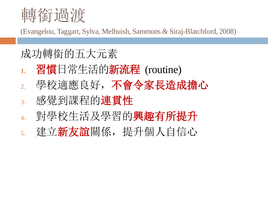

(Evangelou, Taggart, Sylva, Melhuish, Sammons & Siraj-Blatchford, 2008)

## 成功轉銜的五大元素

- **1.** 習慣日常生活的新流程 (routine)
- 2. 學校適應良好,不會令家長造成擔心
- 3. 感覺到課程的連貫性
- 4. 對學校生活及學習的興趣有所提升
- 5. 建立新友誼關係,提升個人自信心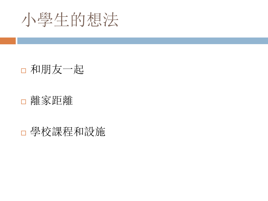

## 和朋友一起

### 離家距離

學校課程和設施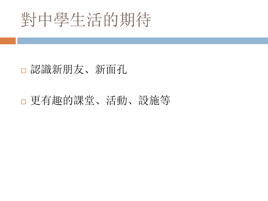# 對中學生活的期待

## 認識新朋友、新面孔

## 更有趣的課堂、活動、設施等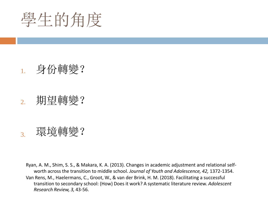學生的角度

## 1. 身份轉變?

#### 2. 期望轉變?

3. 環境轉變?

Ryan, A. M., Shim, S. S., & Makara, K. A. (2013). Changes in academic adjustment and relational selfworth across the transition to middle school. *Journal of Youth and Adolescence, 42,* 1372-1354. Van Rens, M., Haelermans, C., Groot, W., & van der Brink, H. M. (2018). Facilitating a successful transition to secondary school: (How) Does it work? A systematic literature review. *Adolescent Research Review, 3,* 43-56.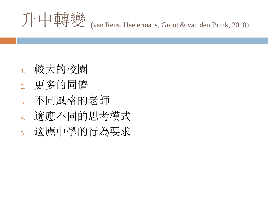

- 1. 較大的校園
- 2. 更多的同儕
- 3. 不同風格的老師
- 4. 適應不同的思考模式
- 5. 適應中學的行為要求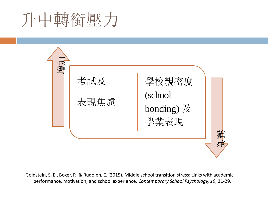# 升中轉銜壓力



Goldstein, S. E., Boxer, P., & Rudolph, E. (2015). Middle school transition stress: Links with academic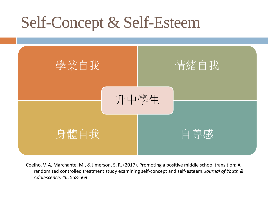# Self-Concept & Self-Esteem



Coelho, V. A, Marchante, M., & Jimerson, S. R. (2017). Promoting a positive middle school transition: A randomized controlled treatment study examining self-concept and self-esteem. *Journal of Youth & Adolescence, 46*, 558-569.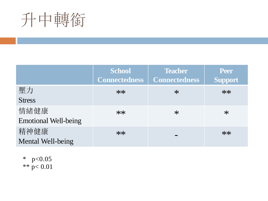# 升中轉銜

|                             | <b>School</b><br>Connectedness | <b>Teacher</b><br><b>Connectedness</b> | <b>Peer</b><br><b>Support</b> |
|-----------------------------|--------------------------------|----------------------------------------|-------------------------------|
| 壓力                          | $**$                           | $\ast$                                 | $**$                          |
| <b>Stress</b>               |                                |                                        |                               |
| 情緒健康                        | $**$                           | $*$                                    | $\ast$                        |
| <b>Emotional Well-being</b> |                                |                                        |                               |
| 精神健康                        | $**$                           |                                        | $**$                          |
| Mental Well-being           |                                |                                        |                               |

\*  $p<0.05$ \*\*  $p < 0.01$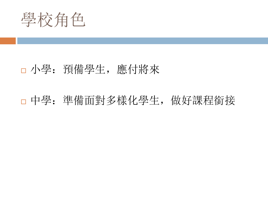學校角色

#### 小學:預備學生,應付將來

中學:準備面對多樣化學生,做好課程銜接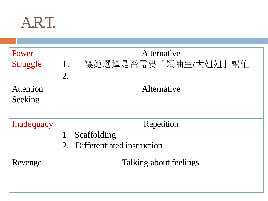

| Power            | Alternative                      |
|------------------|----------------------------------|
| <b>Struggle</b>  | 讓她選擇是否需要「領袖生/大姐姐」幫忙<br>1.        |
|                  | 2.                               |
| <b>Attention</b> | Alternative                      |
| Seeking          |                                  |
|                  |                                  |
| Inadequacy       | Repetition                       |
|                  | Scaffolding<br>1.                |
|                  | Differentiated instruction<br>2. |
|                  |                                  |
| Revenge          | Talking about feelings           |
|                  |                                  |
|                  |                                  |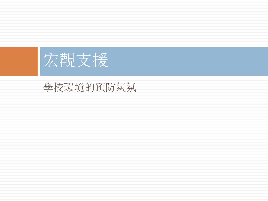

## 學校環境的預防氣氛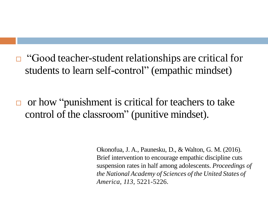$\Box$  "Good teacher-student relationships are critical for students to learn self-control" (empathic mindset)

 or how "punishment is critical for teachers to take control of the classroom" (punitive mindset).

> Okonofua, J. A., Paunesku, D., & Walton, G. M. (2016). Brief intervention to encourage empathic discipline cuts suspension rates in half among adolescents. *Proceedings of the National Academy of Sciences of the United States of America, 113*, 5221-5226.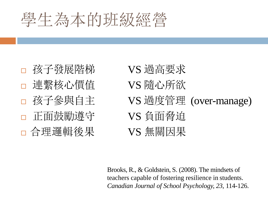# 學生為本的班級經營

- 孩子發展階梯 VS 過高要求 連繫核心價值 VS 隨心所欲 正面鼓勵遵守 VS 負面脅迫 □ 合理邏輯後果 YS 無關因果
- □ 孩子參與自主 VS 過度管理 (over-manage)

Brooks, R., & Goldstein, S. (2008). The mindsets of teachers capable of fostering resilience in students. *Canadian Journal of School Psychology, 23*, 114-126.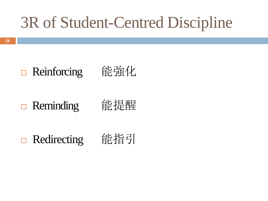# 3R of Student-Centred Discipline

# □ Reinforcing 能強化

□ Reminding 能提醒

□ Redirecting 能指引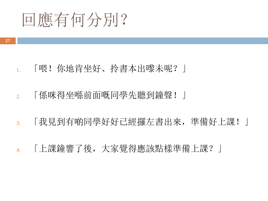

- 1. 「喂!你地肯坐好、拎書本出嚟未呢?」
- 2. 「係咪得坐喺前面嘅同學先聽到鐘聲!」
- 3. 「我見到有啲同學好好已經攞左書出來,準備好上課!」
- 4. 「上課鐘響了後,大家覺得應該點樣準備上課?」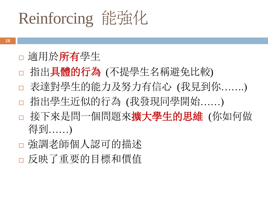# Reinforcing 能強化

- **28**
- □ 適用於所有學生
- 指出具體的行為 (不提學生名稱避免比較)
- 表達對學生的能力及努力有信心 (我見到你…….)
- 指出學生近似的行為 (我發現同學開始……)
- □ 接下來是問一個問題來擴大學生的思維 (你如何做 得到……)
- 強調老師個人認可的描述
- 反映了重要的目標和價值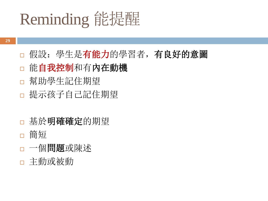# Reminding 能提醒

- □ 假設: 學生是有能力的學習者, 有良好的意圖
- 日能自我控制和有內在動機
- 幫助學生記住期望
- 提示孩子自己記住期望
- 基於明確確定的期望
- □ 簡短
- 一個問題或陳述
- 主動或被動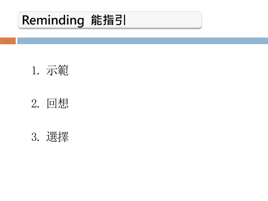## Reminding 能指引





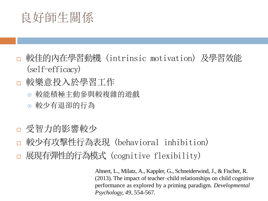## 良好師生關係

- 較佳的內在學習動機 (intrinsic motivation) 及學習效能 (self-efficacy)
- 較樂意投入於學習工作
	- 較能積極主動參與較複雜的遊戲
	- 較少有退卻的行為
- 受智力的影響較少
- 較少有攻擊性行為表現 (behavioral inhibition)
- 展現有彈性的行為模式 (cognitive flexibility)

Ahnert, L., Milatz, A., Kappler, G., Schneiderwind, J., & Fischer, R. (2013). The impact of teacher–child relationships on child cognitive performance as explored by a priming paradigm. *Developmental Psychology, 49*, 554-567.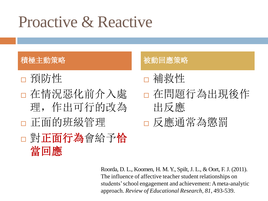## Proactive & Reactive

- 預防性
- 在情況惡化前介入處 理,作出可行的改為 正面的班級管理
- 對正面行為會給予恰 當回應

#### 積極主動策略 地名美国巴拿马卡 被動回應策略

- 補救性
- 在問題行為出現後作 出反應
- □ 反應通常為懲罰

Roorda, D. L., Koomen, H. M. Y., Spilt, J. L., & Oort, F. J. (2011). The influence of affective teacher student relationships on students'school engagement and achievement: Ameta-analytic approach. *Review of Educational Research, 81*, 493-539.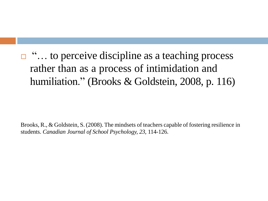$\Box$  "... to perceive discipline as a teaching process rather than as a process of intimidation and humiliation." (Brooks & Goldstein, 2008, p. 116)

Brooks, R., & Goldstein, S. (2008). The mindsets of teachers capable of fostering resilience in students. *Canadian Journal of School Psychology, 23*, 114-126.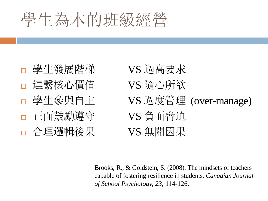# 學生為本的班級經營

- □ 學生發展階梯 VS 過高要求 連繫核心價值 VS 隨心所欲 正面鼓勵遵守 VS 負面脅迫 □ 合理邏輯後果 VS 無關因果
- □ 學生參與自主 VS 過度管理 (over-manage)

Brooks, R., & Goldstein, S. (2008). The mindsets of teachers capable of fostering resilience in students. *Canadian Journal of School Psychology, 23*, 114-126.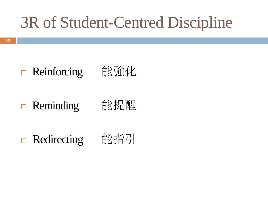# 3R of Student-Centred Discipline

# □ Reinforcing 能強化

## □ Reminding 能提醒

□ Redirecting 能指引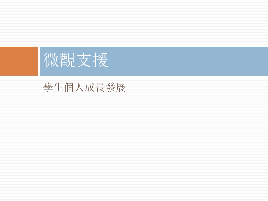

## 學生個人成長發展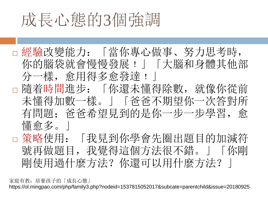# 成長心態的3個強調

□ 經驗改變能力: 「當你專心做事、努力思考時, 你的腦袋就會慢慢發展!」「大腦和身體其他部 分一樣,愈用得多愈發達﹗」 隨着時間進步:「你還未懂得除數,就像你從前 未懂得加數一樣。」「爸爸不期望你一次答對所 有問題;爸爸希望見到的是你一步一步學習,愈 懂愈多。| □ 策略使用: 「我見到你學會先圈出題目的加減符 號再做題目,我覺得這個方法很不錯。|「你剛

剛使用過什麼方法?你還可以用什麼方法?」

家庭有教: 培養孩子的「成長心態」 https://ol.mingpao.com/php/family3.php?nodeid=1537815052017&subcate=parentchild&issue=20180925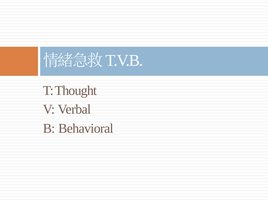

T:Thought V: Verbal B: Behavioral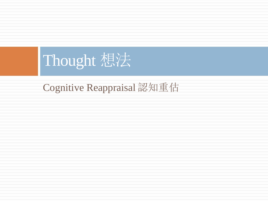# Thought 想法

Cognitive Reappraisal 認知重估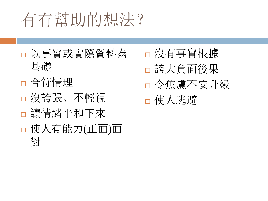# 有冇幫助的想法?

- 以事實或實際資料為 基礎
- 合符情理
- 沒誇張、不輕視
- 讓情緒平和下來
- 使人有能力(正面)面 對

 沒有事實根據 誇大負面後果 令焦慮不安升級 使人逃避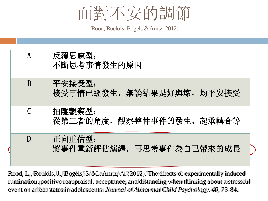

(Rood, Roelofs, Bögels & Arntz, 2012)

| A | 反覆思慮型:<br>不斷思考事情發生的原因                 |
|---|---------------------------------------|
| B | 平安接受型:<br>接受事情已經發生,無論結果是好與壞,均平安接受     |
| C | 抽離觀察型:<br>從第三者的角度,<br>觀察整件事件的發生、起承轉合等 |
| D | 正向重估型:<br>將事件重新評估演繹,再思考事件為自己帶來的成長     |

Rood, L., Roelofs, J., Bögels, S. M., Arntz, A. (2012). The effects of experimentally induced rumination, positive reappraisal, acceptance, and distancing when thinking about a stressful event on affect states in adolescents. *Journal of Abnormal Child Psychology, 40, 73-84.*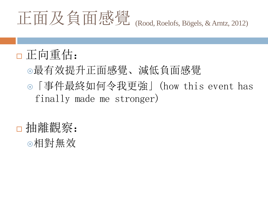# (Rood, Roelofs, Bögels, &Arntz, 2012) 正面及負面感覺

## 正向重估:

- 最有效提升正面感覺、減低負面感覺
- 「事件最終如何令我更強」(how this event has finally made me stronger)
- □抽離觀察: 相對無效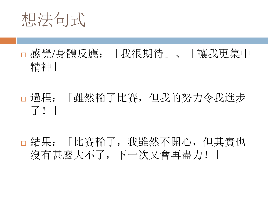想法句式

## 感覺/身體反應:「我很期待」、「讓我更集中 精神」

- 過程:「雖然輸了比賽,但我的努力令我進步 了!」
- 結果:「比賽輸了,我雖然不開心,但其實也 沒有甚麼大不了,下一次又會再盡力!」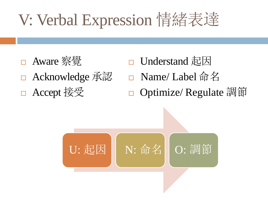# V: Verbal Expression 情緒表達

- Aware 察覺 Acknowledge 承認 □ Accept 接受
- Understand 起因 □ Name/ Label 命名 **Optimize/ Regulate 調節**

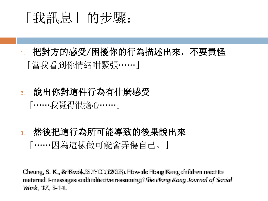## 「我訊息」的步驟:

- 1. 把對方的感受/困擾你的行為描述出來,不要責怪 「當我看到你情緒咁緊張……」
- 2. 說出你對這件行為有什麼感受 「……我覺得很擔心……」
- 3. 然後把這行為所可能導致的後果說出來 「……因為這樣做可能會弄傷自己。」

Cheung, S. K., & Kwok, S. Y. C. (2003). How do Hong Kong children react to maternal I-messages and inductive reasoning? *The Hong Kong Journal of Social Work, 37*, 3-14.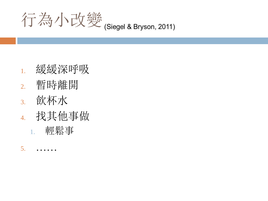

- 1. 緩緩深呼吸
- 2. 暫時離開
- 3. 飲杯水
- 4. 找其他事做 1. 輕鬆事
- $5.$  ……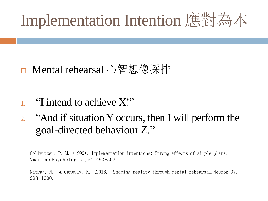# Implementation Intention 應對為本

## □ Mental rehearsal 心智想像採排

- 1. "I intend to achieve X!"
- 2. "And if situation Y occurs, then I will perform the goal-directed behaviour Z."

Gollwitzer, P. M. (1999). Implementation intentions: Strong effects of simple plans. AmericanPsychologist, 54, 493-503.

Natraj, N., & Ganguly, K. (2018). Shaping reality through mental rehearsal. Neuron, 97, 998-1000.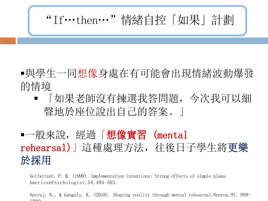"If…then…"情緒自控「如果」計劃

- 與學生一同想像身處在有可能會出現情緒波動爆發 的情境
	- 「如果老師沒有揀選我答問題,今次我可以細 聲地於座位說出自己的答案。」

## ■一般來說, 經過「想像實習 (mental rehearsal)」這種處理方法,往後日子學生將更樂 於採用

Gollwitzer, P. M. (1999). Implementation intentions: Strong effects of simple plans. AmericanPsychologist, 54, 493-503.

Natraj, N., & Ganguly, K. (2018). Shaping reality through mental rehearsal. Neuron, 97, 998-1000.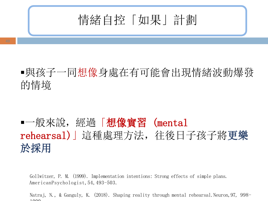

## 與孩子一同想像身處在有可能會出現情緒波動爆發 的情境

## ■一般來說, 經過「想像實習 (mental rehearsal)」這種處理方法,往後日子孩子將更樂 於採用

Gollwitzer, P. M. (1999). Implementation intentions: Strong effects of simple plans. AmericanPsychologist,54,493-503.

Natraj, N., & Ganguly, K. (2018). Shaping reality through mental rehearsal. Neuron, 97, 998-1000.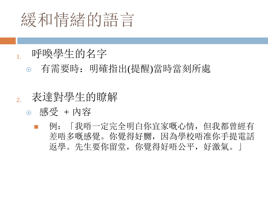

#### 1. 呼喚學生的名字

有需要時:明確指出(提醒)當時當刻所處

#### 2. 表達對學生的瞭解

- 感受 + 內容
	- 例:「我唔一定完全明白你宜家嘅心情,但我都曾經有 差唔多嘅感覺。你覺得好嬲,因為學校唔准你手提電話 返學。先生要你留堂,你覺得好唔公平,好激氣。」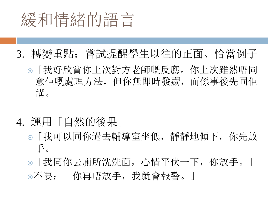

- 3. 轉變重點:嘗試提醒學生以往的正面、恰當例子
	- 「我好欣賞你上次對方老師嘅反應。你上次雖然唔同 意佢嘅處理方法,但你無即時發嬲,而係事後先同佢 講。」
- 4. 運用「自然的後果」
	- 「我可以同你過去輔導室坐低,靜靜地傾下,你先放 手。」
	- 「我同你去廁所洗洗面,心情平伏一下,你放手。」 不要:「你再唔放手,我就會報警。」